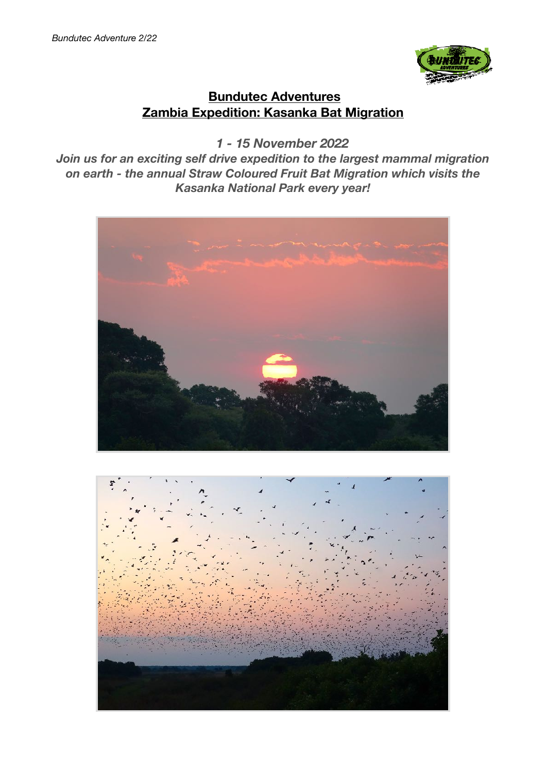

# **Bundutec Adventures Zambia Expedition: Kasanka Bat Migration**

 *1 - 15 November 2022* 

*Join us for an exciting self drive expedition to the largest mammal migration on earth - the annual Straw Coloured Fruit Bat Migration which visits the Kasanka National Park every year!*



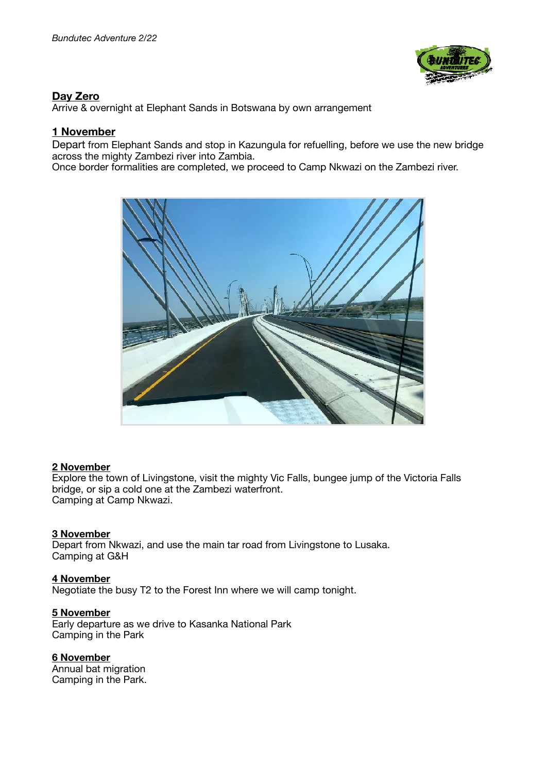

## **Day Zero**

Arrive & overnight at Elephant Sands in Botswana by own arrangement

#### **1 November**

Depart from Elephant Sands and stop in Kazungula for refuelling, before we use the new bridge across the mighty Zambezi river into Zambia.

Once border formalities are completed, we proceed to Camp Nkwazi on the Zambezi river.



#### **2 November**

Explore the town of Livingstone, visit the mighty Vic Falls, bungee jump of the Victoria Falls bridge, or sip a cold one at the Zambezi waterfront. Camping at Camp Nkwazi.

#### **3 November**

Depart from Nkwazi, and use the main tar road from Livingstone to Lusaka. Camping at G&H

**4 November**  Negotiate the busy T2 to the Forest Inn where we will camp tonight.

#### **5 November**

Early departure as we drive to Kasanka National Park Camping in the Park

#### **6 November**

Annual bat migration Camping in the Park.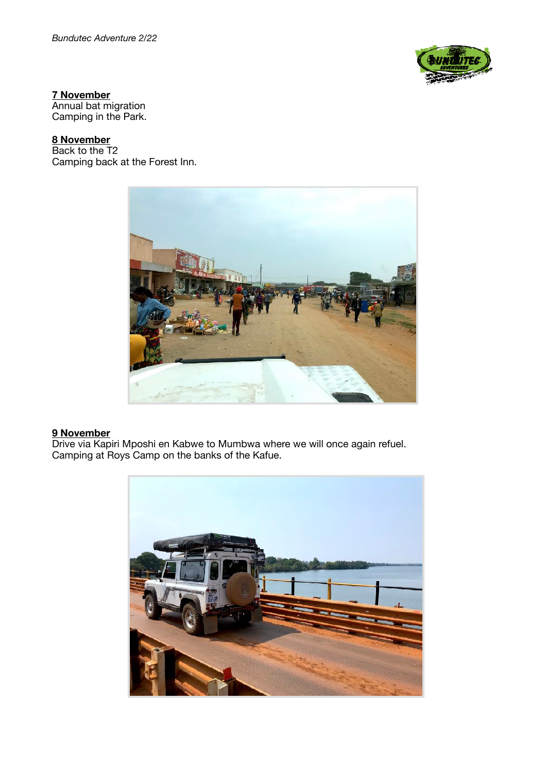

#### **7 November**

Annual bat migration Camping in the Park.

## **8 November**

Back to the T2 Camping back at the Forest Inn.



#### **9 November**

Drive via Kapiri Mposhi en Kabwe to Mumbwa where we will once again refuel. Camping at Roys Camp on the banks of the Kafue.

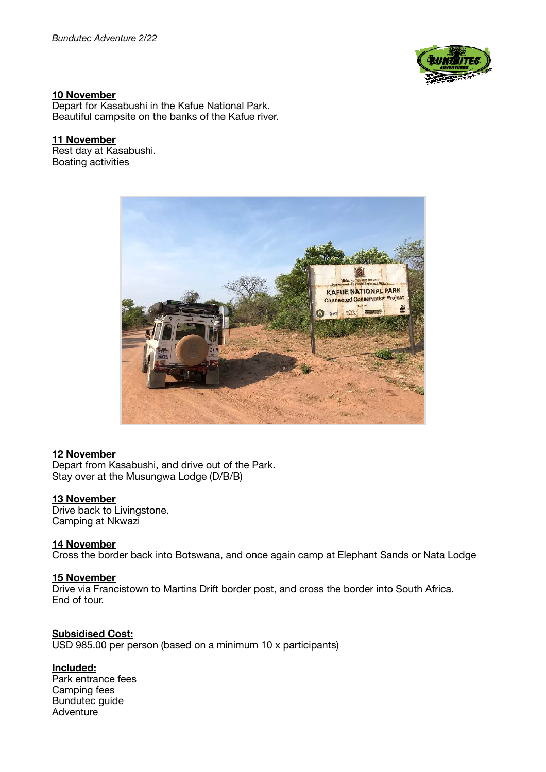

#### **10 November**

Depart for Kasabushi in the Kafue National Park. Beautiful campsite on the banks of the Kafue river.

#### **11 November**

Rest day at Kasabushi. Boating activities



## **12 November**

Depart from Kasabushi, and drive out of the Park. Stay over at the Musungwa Lodge (D/B/B)

#### **13 November**

Drive back to Livingstone. Camping at Nkwazi

#### **14 November**

Cross the border back into Botswana, and once again camp at Elephant Sands or Nata Lodge

## **15 November**

Drive via Francistown to Martins Drift border post, and cross the border into South Africa. End of tour.

#### **Subsidised Cost:**  USD 985.00 per person (based on a minimum 10 x participants)

#### **Included:**

Park entrance fees Camping fees Bundutec guide Adventure